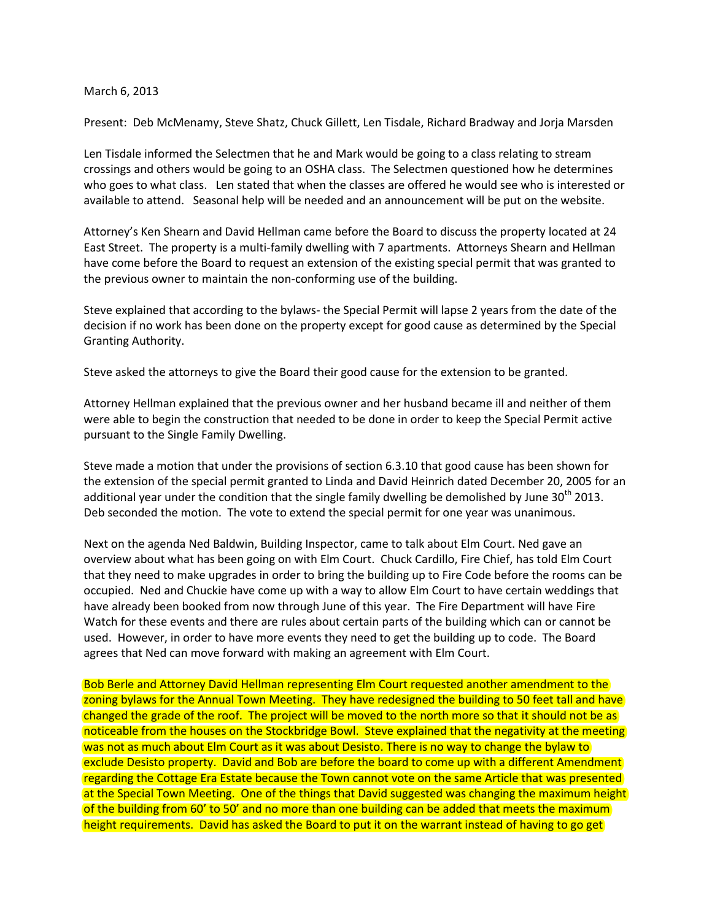## March 6, 2013

Present: Deb McMenamy, Steve Shatz, Chuck Gillett, Len Tisdale, Richard Bradway and Jorja Marsden

Len Tisdale informed the Selectmen that he and Mark would be going to a class relating to stream crossings and others would be going to an OSHA class. The Selectmen questioned how he determines who goes to what class. Len stated that when the classes are offered he would see who is interested or available to attend. Seasonal help will be needed and an announcement will be put on the website.

Attorney's Ken Shearn and David Hellman came before the Board to discuss the property located at 24 East Street. The property is a multi-family dwelling with 7 apartments. Attorneys Shearn and Hellman have come before the Board to request an extension of the existing special permit that was granted to the previous owner to maintain the non-conforming use of the building.

Steve explained that according to the bylaws- the Special Permit will lapse 2 years from the date of the decision if no work has been done on the property except for good cause as determined by the Special Granting Authority.

Steve asked the attorneys to give the Board their good cause for the extension to be granted.

Attorney Hellman explained that the previous owner and her husband became ill and neither of them were able to begin the construction that needed to be done in order to keep the Special Permit active pursuant to the Single Family Dwelling.

Steve made a motion that under the provisions of section 6.3.10 that good cause has been shown for the extension of the special permit granted to Linda and David Heinrich dated December 20, 2005 for an additional year under the condition that the single family dwelling be demolished by June  $30<sup>th</sup>$  2013. Deb seconded the motion. The vote to extend the special permit for one year was unanimous.

Next on the agenda Ned Baldwin, Building Inspector, came to talk about Elm Court. Ned gave an overview about what has been going on with Elm Court. Chuck Cardillo, Fire Chief, has told Elm Court that they need to make upgrades in order to bring the building up to Fire Code before the rooms can be occupied. Ned and Chuckie have come up with a way to allow Elm Court to have certain weddings that have already been booked from now through June of this year. The Fire Department will have Fire Watch for these events and there are rules about certain parts of the building which can or cannot be used. However, in order to have more events they need to get the building up to code. The Board agrees that Ned can move forward with making an agreement with Elm Court.

Bob Berle and Attorney David Hellman representing Elm Court requested another amendment to the zoning bylaws for the Annual Town Meeting. They have redesigned the building to 50 feet tall and have changed the grade of the roof. The project will be moved to the north more so that it should not be as noticeable from the houses on the Stockbridge Bowl. Steve explained that the negativity at the meeting was not as much about Elm Court as it was about Desisto. There is no way to change the bylaw to exclude Desisto property. David and Bob are before the board to come up with a different Amendment regarding the Cottage Era Estate because the Town cannot vote on the same Article that was presented at the Special Town Meeting. One of the things that David suggested was changing the maximum height of the building from 60' to 50' and no more than one building can be added that meets the maximum height requirements. David has asked the Board to put it on the warrant instead of having to go get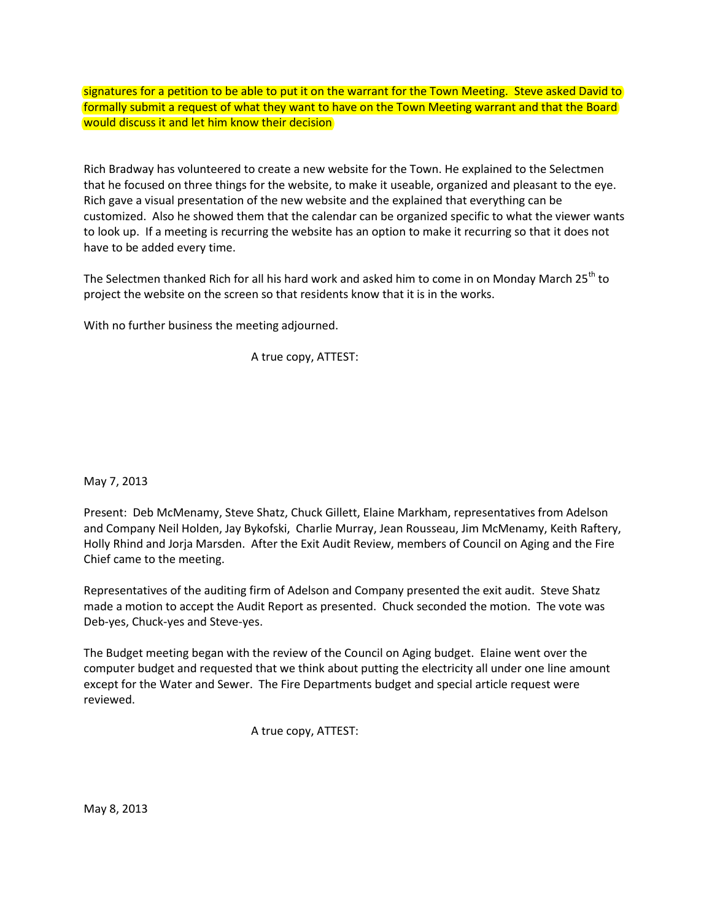signatures for a petition to be able to put it on the warrant for the Town Meeting. Steve asked David to formally submit a request of what they want to have on the Town Meeting warrant and that the Board would discuss it and let him know their decision

Rich Bradway has volunteered to create a new website for the Town. He explained to the Selectmen that he focused on three things for the website, to make it useable, organized and pleasant to the eye. Rich gave a visual presentation of the new website and the explained that everything can be customized. Also he showed them that the calendar can be organized specific to what the viewer wants to look up. If a meeting is recurring the website has an option to make it recurring so that it does not have to be added every time.

The Selectmen thanked Rich for all his hard work and asked him to come in on Monday March 25<sup>th</sup> to project the website on the screen so that residents know that it is in the works.

With no further business the meeting adjourned.

A true copy, ATTEST:

May 7, 2013

Present: Deb McMenamy, Steve Shatz, Chuck Gillett, Elaine Markham, representatives from Adelson and Company Neil Holden, Jay Bykofski, Charlie Murray, Jean Rousseau, Jim McMenamy, Keith Raftery, Holly Rhind and Jorja Marsden. After the Exit Audit Review, members of Council on Aging and the Fire Chief came to the meeting.

Representatives of the auditing firm of Adelson and Company presented the exit audit. Steve Shatz made a motion to accept the Audit Report as presented. Chuck seconded the motion. The vote was Deb-yes, Chuck-yes and Steve-yes.

The Budget meeting began with the review of the Council on Aging budget. Elaine went over the computer budget and requested that we think about putting the electricity all under one line amount except for the Water and Sewer. The Fire Departments budget and special article request were reviewed.

A true copy, ATTEST:

May 8, 2013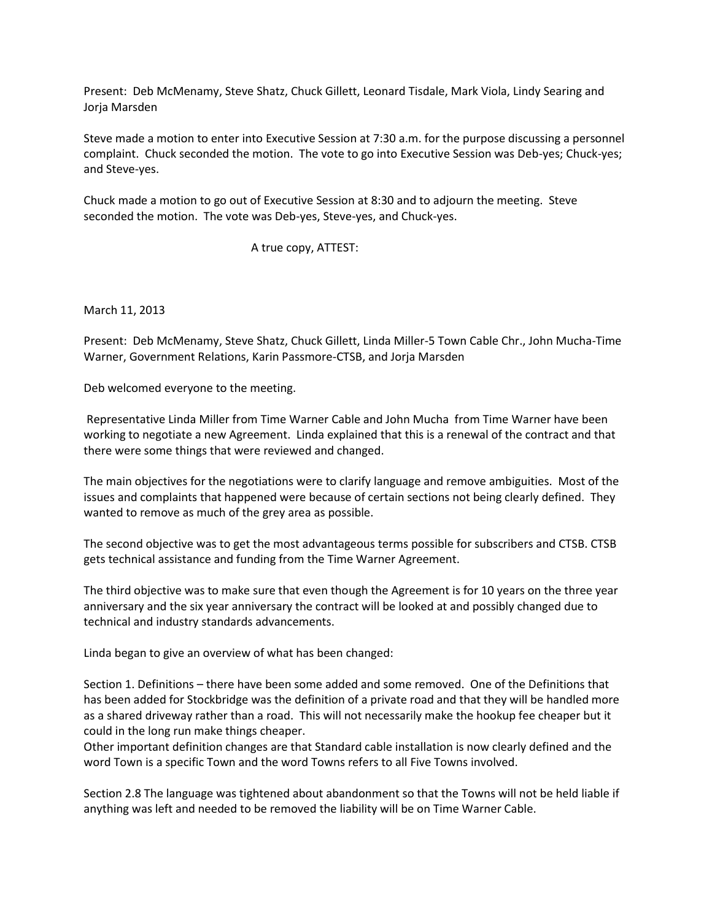Present: Deb McMenamy, Steve Shatz, Chuck Gillett, Leonard Tisdale, Mark Viola, Lindy Searing and Jorja Marsden

Steve made a motion to enter into Executive Session at 7:30 a.m. for the purpose discussing a personnel complaint. Chuck seconded the motion. The vote to go into Executive Session was Deb-yes; Chuck-yes; and Steve-yes.

Chuck made a motion to go out of Executive Session at 8:30 and to adjourn the meeting. Steve seconded the motion. The vote was Deb-yes, Steve-yes, and Chuck-yes.

A true copy, ATTEST:

March 11, 2013

Present: Deb McMenamy, Steve Shatz, Chuck Gillett, Linda Miller-5 Town Cable Chr., John Mucha-Time Warner, Government Relations, Karin Passmore-CTSB, and Jorja Marsden

Deb welcomed everyone to the meeting.

Representative Linda Miller from Time Warner Cable and John Mucha from Time Warner have been working to negotiate a new Agreement. Linda explained that this is a renewal of the contract and that there were some things that were reviewed and changed.

The main objectives for the negotiations were to clarify language and remove ambiguities. Most of the issues and complaints that happened were because of certain sections not being clearly defined. They wanted to remove as much of the grey area as possible.

The second objective was to get the most advantageous terms possible for subscribers and CTSB. CTSB gets technical assistance and funding from the Time Warner Agreement.

The third objective was to make sure that even though the Agreement is for 10 years on the three year anniversary and the six year anniversary the contract will be looked at and possibly changed due to technical and industry standards advancements.

Linda began to give an overview of what has been changed:

Section 1. Definitions – there have been some added and some removed. One of the Definitions that has been added for Stockbridge was the definition of a private road and that they will be handled more as a shared driveway rather than a road. This will not necessarily make the hookup fee cheaper but it could in the long run make things cheaper.

Other important definition changes are that Standard cable installation is now clearly defined and the word Town is a specific Town and the word Towns refers to all Five Towns involved.

Section 2.8 The language was tightened about abandonment so that the Towns will not be held liable if anything was left and needed to be removed the liability will be on Time Warner Cable.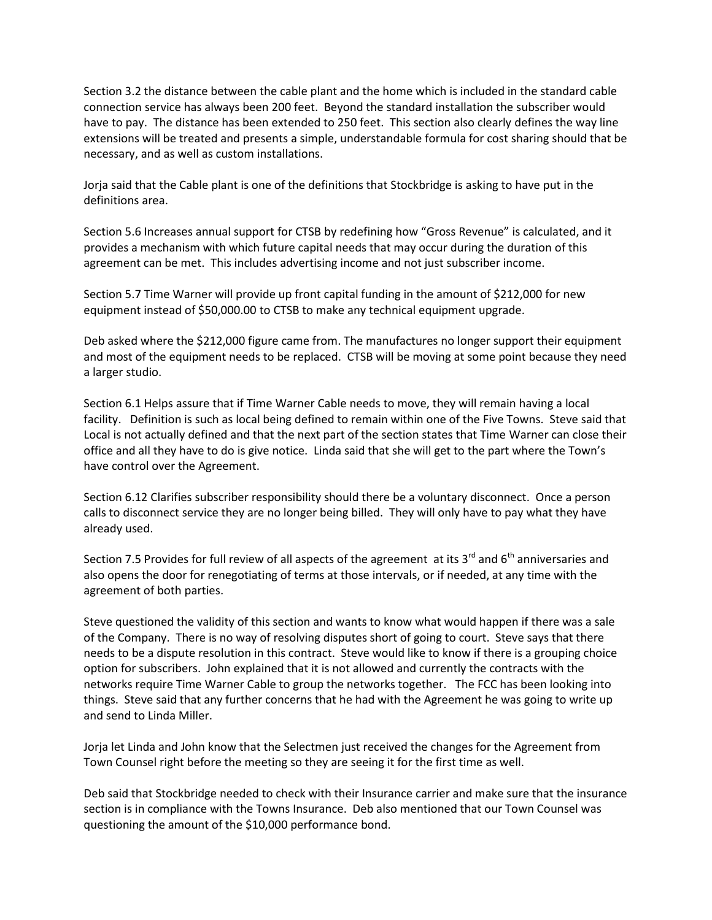Section 3.2 the distance between the cable plant and the home which is included in the standard cable connection service has always been 200 feet. Beyond the standard installation the subscriber would have to pay. The distance has been extended to 250 feet. This section also clearly defines the way line extensions will be treated and presents a simple, understandable formula for cost sharing should that be necessary, and as well as custom installations.

Jorja said that the Cable plant is one of the definitions that Stockbridge is asking to have put in the definitions area.

Section 5.6 Increases annual support for CTSB by redefining how "Gross Revenue" is calculated, and it provides a mechanism with which future capital needs that may occur during the duration of this agreement can be met. This includes advertising income and not just subscriber income.

Section 5.7 Time Warner will provide up front capital funding in the amount of \$212,000 for new equipment instead of \$50,000.00 to CTSB to make any technical equipment upgrade.

Deb asked where the \$212,000 figure came from. The manufactures no longer support their equipment and most of the equipment needs to be replaced. CTSB will be moving at some point because they need a larger studio.

Section 6.1 Helps assure that if Time Warner Cable needs to move, they will remain having a local facility. Definition is such as local being defined to remain within one of the Five Towns. Steve said that Local is not actually defined and that the next part of the section states that Time Warner can close their office and all they have to do is give notice. Linda said that she will get to the part where the Town's have control over the Agreement.

Section 6.12 Clarifies subscriber responsibility should there be a voluntary disconnect. Once a person calls to disconnect service they are no longer being billed. They will only have to pay what they have already used.

Section 7.5 Provides for full review of all aspects of the agreement at its  $3<sup>rd</sup>$  and  $6<sup>th</sup>$  anniversaries and also opens the door for renegotiating of terms at those intervals, or if needed, at any time with the agreement of both parties.

Steve questioned the validity of this section and wants to know what would happen if there was a sale of the Company. There is no way of resolving disputes short of going to court. Steve says that there needs to be a dispute resolution in this contract. Steve would like to know if there is a grouping choice option for subscribers. John explained that it is not allowed and currently the contracts with the networks require Time Warner Cable to group the networks together. The FCC has been looking into things. Steve said that any further concerns that he had with the Agreement he was going to write up and send to Linda Miller.

Jorja let Linda and John know that the Selectmen just received the changes for the Agreement from Town Counsel right before the meeting so they are seeing it for the first time as well.

Deb said that Stockbridge needed to check with their Insurance carrier and make sure that the insurance section is in compliance with the Towns Insurance. Deb also mentioned that our Town Counsel was questioning the amount of the \$10,000 performance bond.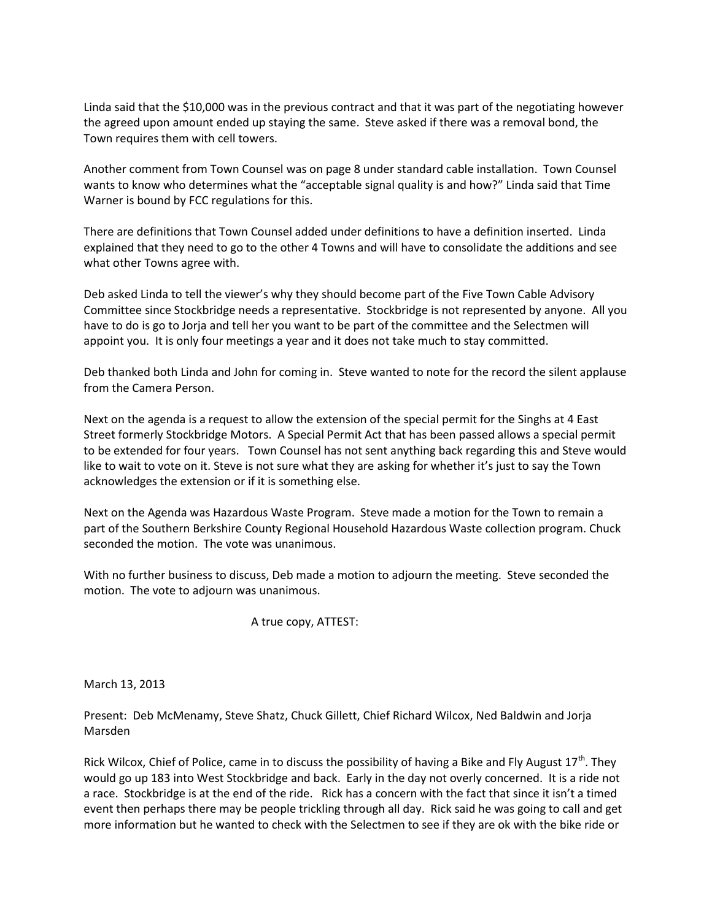Linda said that the \$10,000 was in the previous contract and that it was part of the negotiating however the agreed upon amount ended up staying the same. Steve asked if there was a removal bond, the Town requires them with cell towers.

Another comment from Town Counsel was on page 8 under standard cable installation. Town Counsel wants to know who determines what the "acceptable signal quality is and how?" Linda said that Time Warner is bound by FCC regulations for this.

There are definitions that Town Counsel added under definitions to have a definition inserted. Linda explained that they need to go to the other 4 Towns and will have to consolidate the additions and see what other Towns agree with.

Deb asked Linda to tell the viewer's why they should become part of the Five Town Cable Advisory Committee since Stockbridge needs a representative. Stockbridge is not represented by anyone. All you have to do is go to Jorja and tell her you want to be part of the committee and the Selectmen will appoint you. It is only four meetings a year and it does not take much to stay committed.

Deb thanked both Linda and John for coming in. Steve wanted to note for the record the silent applause from the Camera Person.

Next on the agenda is a request to allow the extension of the special permit for the Singhs at 4 East Street formerly Stockbridge Motors. A Special Permit Act that has been passed allows a special permit to be extended for four years. Town Counsel has not sent anything back regarding this and Steve would like to wait to vote on it. Steve is not sure what they are asking for whether it's just to say the Town acknowledges the extension or if it is something else.

Next on the Agenda was Hazardous Waste Program. Steve made a motion for the Town to remain a part of the Southern Berkshire County Regional Household Hazardous Waste collection program. Chuck seconded the motion. The vote was unanimous.

With no further business to discuss, Deb made a motion to adjourn the meeting. Steve seconded the motion. The vote to adjourn was unanimous.

## A true copy, ATTEST:

March 13, 2013

Present: Deb McMenamy, Steve Shatz, Chuck Gillett, Chief Richard Wilcox, Ned Baldwin and Jorja Marsden

Rick Wilcox, Chief of Police, came in to discuss the possibility of having a Bike and Fly August  $17<sup>th</sup>$ . They would go up 183 into West Stockbridge and back. Early in the day not overly concerned. It is a ride not a race. Stockbridge is at the end of the ride. Rick has a concern with the fact that since it isn't a timed event then perhaps there may be people trickling through all day. Rick said he was going to call and get more information but he wanted to check with the Selectmen to see if they are ok with the bike ride or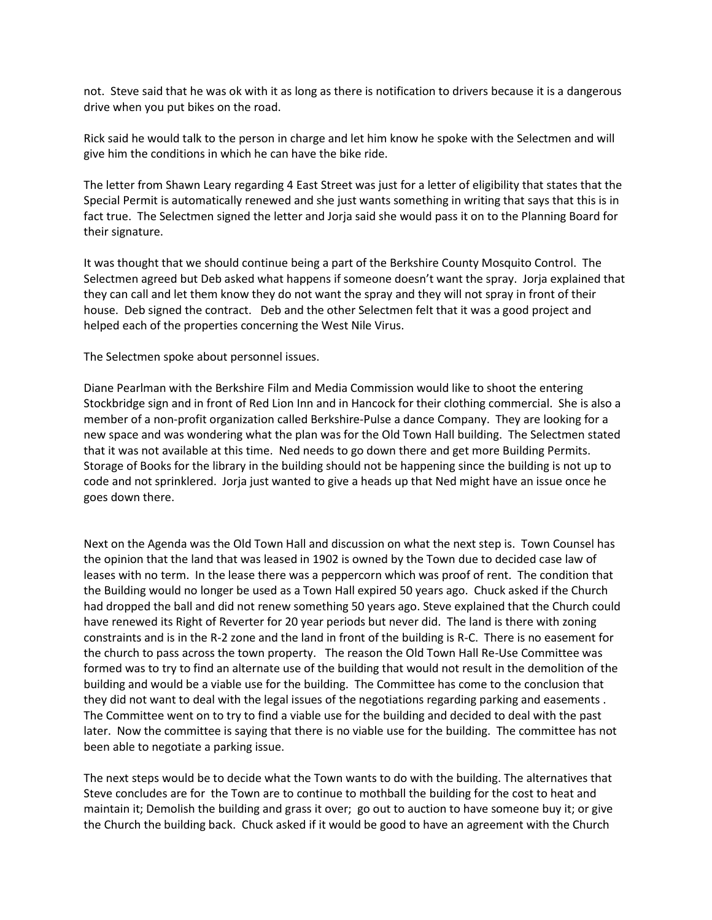not. Steve said that he was ok with it as long as there is notification to drivers because it is a dangerous drive when you put bikes on the road.

Rick said he would talk to the person in charge and let him know he spoke with the Selectmen and will give him the conditions in which he can have the bike ride.

The letter from Shawn Leary regarding 4 East Street was just for a letter of eligibility that states that the Special Permit is automatically renewed and she just wants something in writing that says that this is in fact true. The Selectmen signed the letter and Jorja said she would pass it on to the Planning Board for their signature.

It was thought that we should continue being a part of the Berkshire County Mosquito Control. The Selectmen agreed but Deb asked what happens if someone doesn't want the spray. Jorja explained that they can call and let them know they do not want the spray and they will not spray in front of their house. Deb signed the contract. Deb and the other Selectmen felt that it was a good project and helped each of the properties concerning the West Nile Virus.

The Selectmen spoke about personnel issues.

Diane Pearlman with the Berkshire Film and Media Commission would like to shoot the entering Stockbridge sign and in front of Red Lion Inn and in Hancock for their clothing commercial. She is also a member of a non-profit organization called Berkshire-Pulse a dance Company. They are looking for a new space and was wondering what the plan was for the Old Town Hall building. The Selectmen stated that it was not available at this time. Ned needs to go down there and get more Building Permits. Storage of Books for the library in the building should not be happening since the building is not up to code and not sprinklered. Jorja just wanted to give a heads up that Ned might have an issue once he goes down there.

Next on the Agenda was the Old Town Hall and discussion on what the next step is. Town Counsel has the opinion that the land that was leased in 1902 is owned by the Town due to decided case law of leases with no term. In the lease there was a peppercorn which was proof of rent. The condition that the Building would no longer be used as a Town Hall expired 50 years ago. Chuck asked if the Church had dropped the ball and did not renew something 50 years ago. Steve explained that the Church could have renewed its Right of Reverter for 20 year periods but never did. The land is there with zoning constraints and is in the R-2 zone and the land in front of the building is R-C. There is no easement for the church to pass across the town property. The reason the Old Town Hall Re-Use Committee was formed was to try to find an alternate use of the building that would not result in the demolition of the building and would be a viable use for the building. The Committee has come to the conclusion that they did not want to deal with the legal issues of the negotiations regarding parking and easements . The Committee went on to try to find a viable use for the building and decided to deal with the past later. Now the committee is saying that there is no viable use for the building. The committee has not been able to negotiate a parking issue.

The next steps would be to decide what the Town wants to do with the building. The alternatives that Steve concludes are for the Town are to continue to mothball the building for the cost to heat and maintain it; Demolish the building and grass it over; go out to auction to have someone buy it; or give the Church the building back. Chuck asked if it would be good to have an agreement with the Church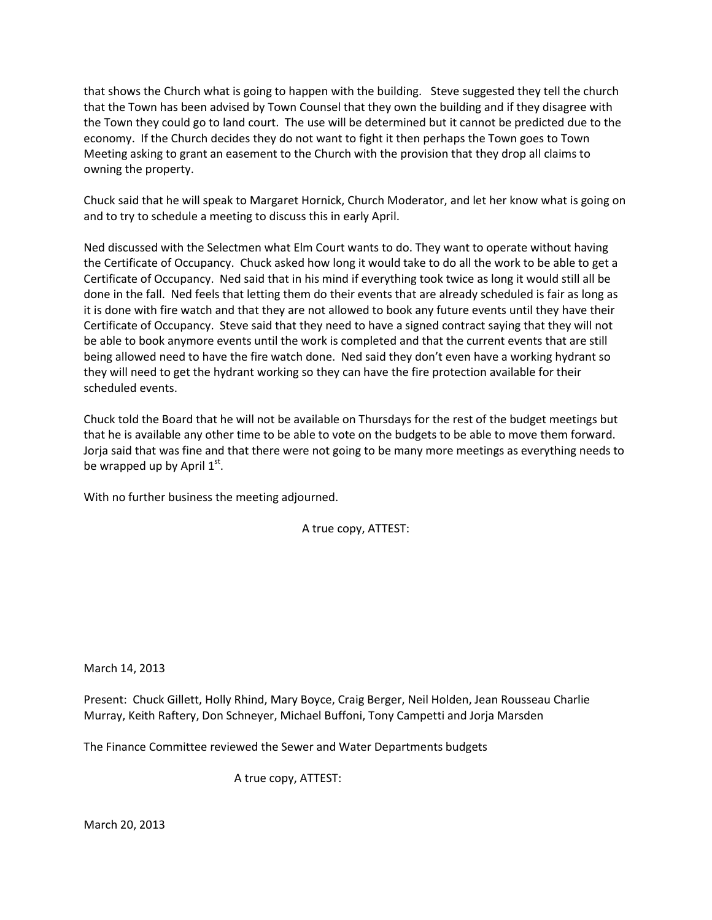that shows the Church what is going to happen with the building. Steve suggested they tell the church that the Town has been advised by Town Counsel that they own the building and if they disagree with the Town they could go to land court. The use will be determined but it cannot be predicted due to the economy. If the Church decides they do not want to fight it then perhaps the Town goes to Town Meeting asking to grant an easement to the Church with the provision that they drop all claims to owning the property.

Chuck said that he will speak to Margaret Hornick, Church Moderator, and let her know what is going on and to try to schedule a meeting to discuss this in early April.

Ned discussed with the Selectmen what Elm Court wants to do. They want to operate without having the Certificate of Occupancy. Chuck asked how long it would take to do all the work to be able to get a Certificate of Occupancy. Ned said that in his mind if everything took twice as long it would still all be done in the fall. Ned feels that letting them do their events that are already scheduled is fair as long as it is done with fire watch and that they are not allowed to book any future events until they have their Certificate of Occupancy. Steve said that they need to have a signed contract saying that they will not be able to book anymore events until the work is completed and that the current events that are still being allowed need to have the fire watch done. Ned said they don't even have a working hydrant so they will need to get the hydrant working so they can have the fire protection available for their scheduled events.

Chuck told the Board that he will not be available on Thursdays for the rest of the budget meetings but that he is available any other time to be able to vote on the budgets to be able to move them forward. Jorja said that was fine and that there were not going to be many more meetings as everything needs to be wrapped up by April  $1^{st}$ .

With no further business the meeting adjourned.

A true copy, ATTEST:

March 14, 2013

Present: Chuck Gillett, Holly Rhind, Mary Boyce, Craig Berger, Neil Holden, Jean Rousseau Charlie Murray, Keith Raftery, Don Schneyer, Michael Buffoni, Tony Campetti and Jorja Marsden

The Finance Committee reviewed the Sewer and Water Departments budgets

A true copy, ATTEST:

March 20, 2013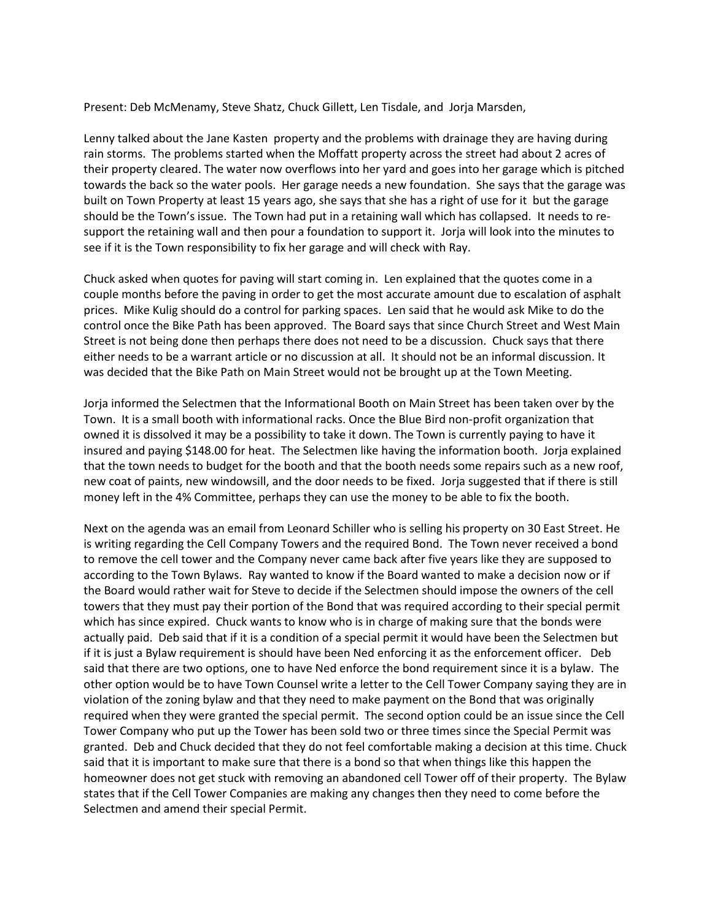Present: Deb McMenamy, Steve Shatz, Chuck Gillett, Len Tisdale, and Jorja Marsden,

Lenny talked about the Jane Kasten property and the problems with drainage they are having during rain storms. The problems started when the Moffatt property across the street had about 2 acres of their property cleared. The water now overflows into her yard and goes into her garage which is pitched towards the back so the water pools. Her garage needs a new foundation. She says that the garage was built on Town Property at least 15 years ago, she says that she has a right of use for it but the garage should be the Town's issue. The Town had put in a retaining wall which has collapsed. It needs to resupport the retaining wall and then pour a foundation to support it. Jorja will look into the minutes to see if it is the Town responsibility to fix her garage and will check with Ray.

Chuck asked when quotes for paving will start coming in. Len explained that the quotes come in a couple months before the paving in order to get the most accurate amount due to escalation of asphalt prices. Mike Kulig should do a control for parking spaces. Len said that he would ask Mike to do the control once the Bike Path has been approved. The Board says that since Church Street and West Main Street is not being done then perhaps there does not need to be a discussion. Chuck says that there either needs to be a warrant article or no discussion at all. It should not be an informal discussion. It was decided that the Bike Path on Main Street would not be brought up at the Town Meeting.

Jorja informed the Selectmen that the Informational Booth on Main Street has been taken over by the Town. It is a small booth with informational racks. Once the Blue Bird non-profit organization that owned it is dissolved it may be a possibility to take it down. The Town is currently paying to have it insured and paying \$148.00 for heat. The Selectmen like having the information booth. Jorja explained that the town needs to budget for the booth and that the booth needs some repairs such as a new roof, new coat of paints, new windowsill, and the door needs to be fixed. Jorja suggested that if there is still money left in the 4% Committee, perhaps they can use the money to be able to fix the booth.

Next on the agenda was an email from Leonard Schiller who is selling his property on 30 East Street. He is writing regarding the Cell Company Towers and the required Bond. The Town never received a bond to remove the cell tower and the Company never came back after five years like they are supposed to according to the Town Bylaws. Ray wanted to know if the Board wanted to make a decision now or if the Board would rather wait for Steve to decide if the Selectmen should impose the owners of the cell towers that they must pay their portion of the Bond that was required according to their special permit which has since expired. Chuck wants to know who is in charge of making sure that the bonds were actually paid. Deb said that if it is a condition of a special permit it would have been the Selectmen but if it is just a Bylaw requirement is should have been Ned enforcing it as the enforcement officer. Deb said that there are two options, one to have Ned enforce the bond requirement since it is a bylaw. The other option would be to have Town Counsel write a letter to the Cell Tower Company saying they are in violation of the zoning bylaw and that they need to make payment on the Bond that was originally required when they were granted the special permit. The second option could be an issue since the Cell Tower Company who put up the Tower has been sold two or three times since the Special Permit was granted. Deb and Chuck decided that they do not feel comfortable making a decision at this time. Chuck said that it is important to make sure that there is a bond so that when things like this happen the homeowner does not get stuck with removing an abandoned cell Tower off of their property. The Bylaw states that if the Cell Tower Companies are making any changes then they need to come before the Selectmen and amend their special Permit.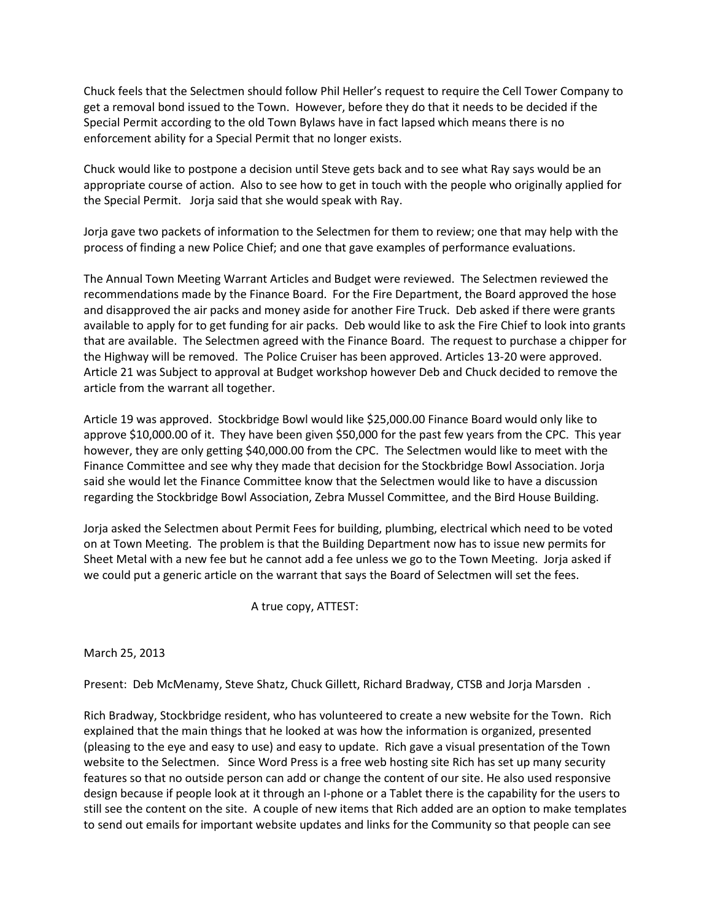Chuck feels that the Selectmen should follow Phil Heller's request to require the Cell Tower Company to get a removal bond issued to the Town. However, before they do that it needs to be decided if the Special Permit according to the old Town Bylaws have in fact lapsed which means there is no enforcement ability for a Special Permit that no longer exists.

Chuck would like to postpone a decision until Steve gets back and to see what Ray says would be an appropriate course of action. Also to see how to get in touch with the people who originally applied for the Special Permit. Jorja said that she would speak with Ray.

Jorja gave two packets of information to the Selectmen for them to review; one that may help with the process of finding a new Police Chief; and one that gave examples of performance evaluations.

The Annual Town Meeting Warrant Articles and Budget were reviewed. The Selectmen reviewed the recommendations made by the Finance Board. For the Fire Department, the Board approved the hose and disapproved the air packs and money aside for another Fire Truck. Deb asked if there were grants available to apply for to get funding for air packs. Deb would like to ask the Fire Chief to look into grants that are available. The Selectmen agreed with the Finance Board. The request to purchase a chipper for the Highway will be removed. The Police Cruiser has been approved. Articles 13-20 were approved. Article 21 was Subject to approval at Budget workshop however Deb and Chuck decided to remove the article from the warrant all together.

Article 19 was approved. Stockbridge Bowl would like \$25,000.00 Finance Board would only like to approve \$10,000.00 of it. They have been given \$50,000 for the past few years from the CPC. This year however, they are only getting \$40,000.00 from the CPC. The Selectmen would like to meet with the Finance Committee and see why they made that decision for the Stockbridge Bowl Association. Jorja said she would let the Finance Committee know that the Selectmen would like to have a discussion regarding the Stockbridge Bowl Association, Zebra Mussel Committee, and the Bird House Building.

Jorja asked the Selectmen about Permit Fees for building, plumbing, electrical which need to be voted on at Town Meeting. The problem is that the Building Department now has to issue new permits for Sheet Metal with a new fee but he cannot add a fee unless we go to the Town Meeting. Jorja asked if we could put a generic article on the warrant that says the Board of Selectmen will set the fees.

A true copy, ATTEST:

March 25, 2013

Present: Deb McMenamy, Steve Shatz, Chuck Gillett, Richard Bradway, CTSB and Jorja Marsden .

Rich Bradway, Stockbridge resident, who has volunteered to create a new website for the Town. Rich explained that the main things that he looked at was how the information is organized, presented (pleasing to the eye and easy to use) and easy to update. Rich gave a visual presentation of the Town website to the Selectmen. Since Word Press is a free web hosting site Rich has set up many security features so that no outside person can add or change the content of our site. He also used responsive design because if people look at it through an I-phone or a Tablet there is the capability for the users to still see the content on the site. A couple of new items that Rich added are an option to make templates to send out emails for important website updates and links for the Community so that people can see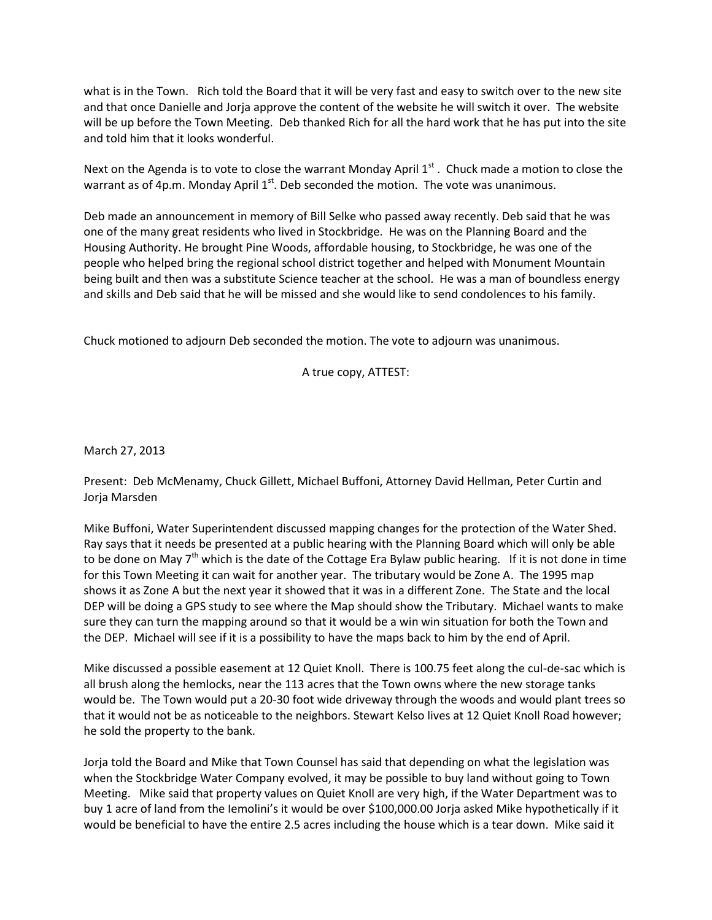what is in the Town. Rich told the Board that it will be very fast and easy to switch over to the new site and that once Danielle and Jorja approve the content of the website he will switch it over. The website will be up before the Town Meeting. Deb thanked Rich for all the hard work that he has put into the site and told him that it looks wonderful.

Next on the Agenda is to vote to close the warrant Monday April  $1<sup>st</sup>$ . Chuck made a motion to close the warrant as of 4p.m. Monday April  $1<sup>st</sup>$ . Deb seconded the motion. The vote was unanimous.

Deb made an announcement in memory of Bill Selke who passed away recently. Deb said that he was one of the many great residents who lived in Stockbridge. He was on the Planning Board and the Housing Authority. He brought Pine Woods, affordable housing, to Stockbridge, he was one of the people who helped bring the regional school district together and helped with Monument Mountain being built and then was a substitute Science teacher at the school. He was a man of boundless energy and skills and Deb said that he will be missed and she would like to send condolences to his family.

Chuck motioned to adjourn Deb seconded the motion. The vote to adjourn was unanimous.

A true copy, ATTEST:

March 27, 2013

Present: Deb McMenamy, Chuck Gillett, Michael Buffoni, Attorney David Hellman, Peter Curtin and Jorja Marsden

Mike Buffoni, Water Superintendent discussed mapping changes for the protection of the Water Shed. Ray says that it needs be presented at a public hearing with the Planning Board which will only be able to be done on May 7<sup>th</sup> which is the date of the Cottage Era Bylaw public hearing. If it is not done in time for this Town Meeting it can wait for another year. The tributary would be Zone A. The 1995 map shows it as Zone A but the next year it showed that it was in a different Zone. The State and the local DEP will be doing a GPS study to see where the Map should show the Tributary. Michael wants to make sure they can turn the mapping around so that it would be a win win situation for both the Town and the DEP. Michael will see if it is a possibility to have the maps back to him by the end of April.

Mike discussed a possible easement at 12 Quiet Knoll. There is 100.75 feet along the cul-de-sac which is all brush along the hemlocks, near the 113 acres that the Town owns where the new storage tanks would be. The Town would put a 20-30 foot wide driveway through the woods and would plant trees so that it would not be as noticeable to the neighbors. Stewart Kelso lives at 12 Quiet Knoll Road however; he sold the property to the bank.

Jorja told the Board and Mike that Town Counsel has said that depending on what the legislation was when the Stockbridge Water Company evolved, it may be possible to buy land without going to Town Meeting. Mike said that property values on Quiet Knoll are very high, if the Water Department was to buy 1 acre of land from the Iemolini's it would be over \$100,000.00 Jorja asked Mike hypothetically if it would be beneficial to have the entire 2.5 acres including the house which is a tear down. Mike said it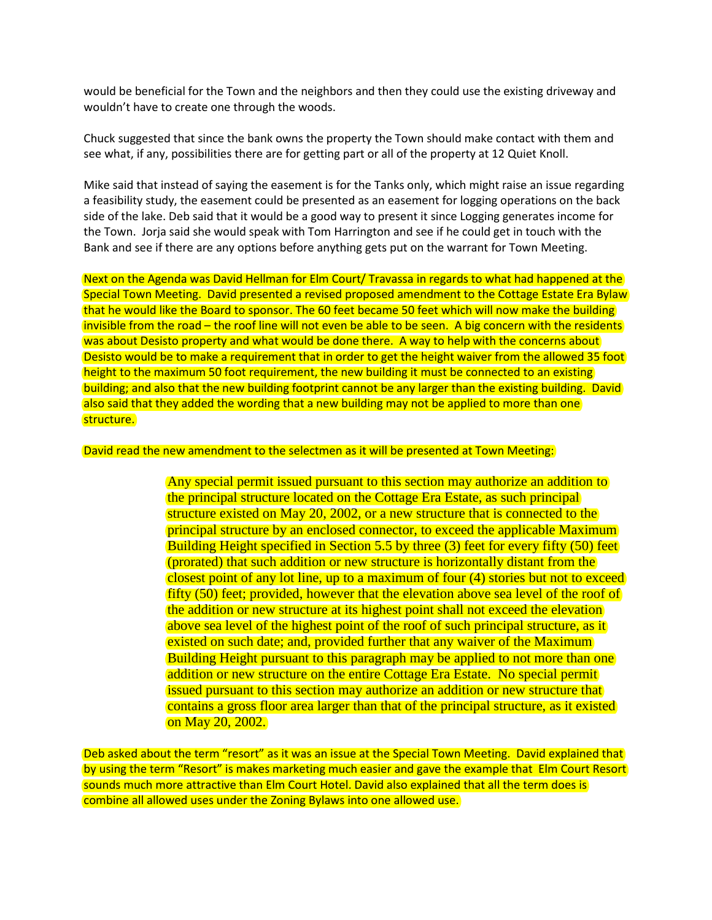would be beneficial for the Town and the neighbors and then they could use the existing driveway and wouldn't have to create one through the woods.

Chuck suggested that since the bank owns the property the Town should make contact with them and see what, if any, possibilities there are for getting part or all of the property at 12 Quiet Knoll.

Mike said that instead of saying the easement is for the Tanks only, which might raise an issue regarding a feasibility study, the easement could be presented as an easement for logging operations on the back side of the lake. Deb said that it would be a good way to present it since Logging generates income for the Town. Jorja said she would speak with Tom Harrington and see if he could get in touch with the Bank and see if there are any options before anything gets put on the warrant for Town Meeting.

Next on the Agenda was David Hellman for Elm Court/ Travassa in regards to what had happened at the Special Town Meeting. David presented a revised proposed amendment to the Cottage Estate Era Bylaw that he would like the Board to sponsor. The 60 feet became 50 feet which will now make the building invisible from the road – the roof line will not even be able to be seen. A big concern with the residents was about Desisto property and what would be done there. A way to help with the concerns about Desisto would be to make a requirement that in order to get the height waiver from the allowed 35 foot height to the maximum 50 foot requirement, the new building it must be connected to an existing building; and also that the new building footprint cannot be any larger than the existing building. David also said that they added the wording that a new building may not be applied to more than one structure.

David read the new amendment to the selectmen as it will be presented at Town Meeting:

Any special permit issued pursuant to this section may authorize an addition to the principal structure located on the Cottage Era Estate, as such principal structure existed on May 20, 2002, or a new structure that is connected to the principal structure by an enclosed connector, to exceed the applicable Maximum Building Height specified in Section 5.5 by three (3) feet for every fifty (50) feet (prorated) that such addition or new structure is horizontally distant from the closest point of any lot line, up to a maximum of four (4) stories but not to exceed fifty (50) feet; provided, however that the elevation above sea level of the roof of the addition or new structure at its highest point shall not exceed the elevation above sea level of the highest point of the roof of such principal structure, as it existed on such date; and, provided further that any waiver of the Maximum Building Height pursuant to this paragraph may be applied to not more than one addition or new structure on the entire Cottage Era Estate. No special permit issued pursuant to this section may authorize an addition or new structure that contains a gross floor area larger than that of the principal structure, as it existed on May 20, 2002.

Deb asked about the term "resort" as it was an issue at the Special Town Meeting. David explained that by using the term "Resort" is makes marketing much easier and gave the example that Elm Court Resort sounds much more attractive than Elm Court Hotel. David also explained that all the term does is combine all allowed uses under the Zoning Bylaws into one allowed use.